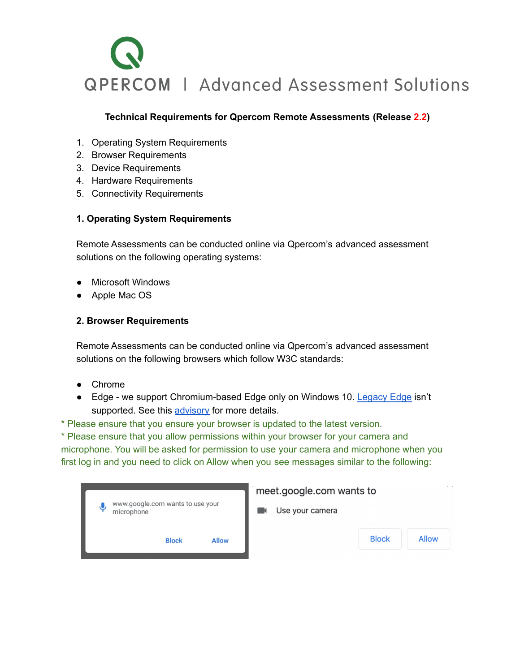# **QPERCOM | Advanced Assessment Solutions**

### **Technical Requirements for Qpercom Remote Assessments (Release 2.2)**

- 1. Operating System Requirements
- 2. Browser Requirements
- 3. Device Requirements
- 4. Hardware Requirements
- 5. Connectivity Requirements

# **1. Operating System Requirements**

Remote Assessments can be conducted online via Qpercom's advanced assessment solutions on the following operating systems:

- Microsoft Windows
- Apple Mac OS

#### **2. Browser Requirements**

Remote Assessments can be conducted online via Qpercom's advanced assessment solutions on the following browsers which follow W3C standards:

- Chrome
- Edge we support Chromium-based Edge only on Windows 10. [Legacy](https://support.microsoft.com/en-us/microsoft-edge/what-is-microsoft-edge-legacy-3e779e55-4c55-08e6-ecc8-2333768c0fb0) Edge isn't supported. See this [advisory](https://support.twilio.com/hc/en-us/articles/360047874793-Twilio-Client-JavaScript-SDK-twilio-js-Microsoft-Edge-Legacy-support-notice) for more details.
- \* Please ensure that you ensure your browser is updated to the latest version.

\* Please ensure that you allow permissions within your browser for your camera and microphone. You will be asked for permission to use your camera and microphone when you first log in and you need to click on Allow when you see messages similar to the following:

| www.google.com wants to use your<br>J<br>microphone | meet.google.com wants to |                              |  |
|-----------------------------------------------------|--------------------------|------------------------------|--|
|                                                     | Use your camera          |                              |  |
| <b>Block</b><br><b>Allow</b>                        |                          | <b>Block</b><br><b>Allow</b> |  |
|                                                     |                          |                              |  |